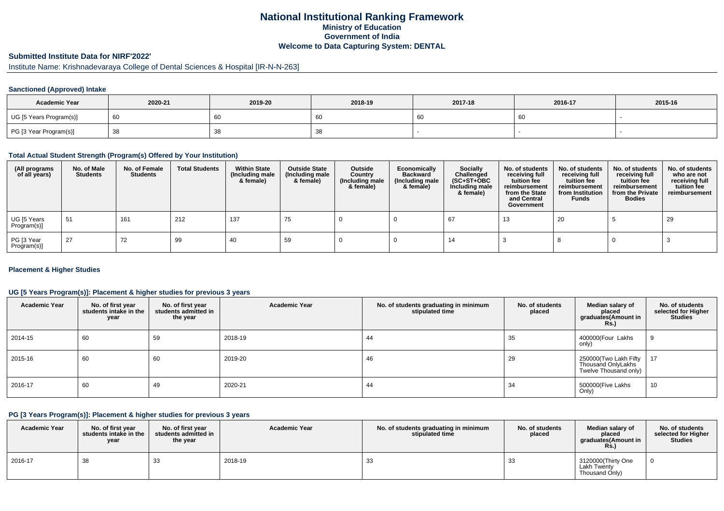### **National Institutional Ranking FrameworkMinistry of Education Government of IndiaWelcome to Data Capturing System: DENTAL**

## **Submitted Institute Data for NIRF'2022'**

# Institute Name: Krishnadevaraya College of Dental Sciences & Hospital [IR-N-N-263]

#### **Sanctioned (Approved) Intake**

| <b>Academic Year</b>    | 2020-21 | 2019-20 | 2018-19    | 2017-18 | 2016-17 | 2015-16 |
|-------------------------|---------|---------|------------|---------|---------|---------|
| UG [5 Years Program(s)] | - 60    | 60      | ັບເ        |         | 60      |         |
| PG [3 Year Program(s)]  | - 38    | 3ర      | -45<br>ັບບ |         |         |         |

#### **Total Actual Student Strength (Program(s) Offered by Your Institution)**

| (All programs<br>of all years) | No. of Male<br><b>Students</b> | No. of Female<br>Students | <b>Total Students</b> | <b>Within State</b><br>(Including male<br>& female) | <b>Outside State</b><br>(Including male<br>& female) | Outside<br>Country<br>(Including male<br>& female) | Economically<br>Backward<br>(Including male<br>& female) | <b>Socially</b><br>Challenged<br>$(SC+ST+OBC)$<br>Including male<br>& female) | No. of students<br>receiving full<br>tuition fee<br>reimbursement<br>from the State<br>and Central<br>Government | No. of students<br>receiving full<br>tuition fee<br>reimbursement<br>from Institution<br><b>Funds</b> | No. of students<br>receiving full<br>tuition fee<br>reimbursement<br>from the Private<br><b>Bodies</b> | No. of students<br>who are not<br>receiving full<br>tuition fee<br>reimbursement |
|--------------------------------|--------------------------------|---------------------------|-----------------------|-----------------------------------------------------|------------------------------------------------------|----------------------------------------------------|----------------------------------------------------------|-------------------------------------------------------------------------------|------------------------------------------------------------------------------------------------------------------|-------------------------------------------------------------------------------------------------------|--------------------------------------------------------------------------------------------------------|----------------------------------------------------------------------------------|
| UG [5 Years<br>Program(s)]     | 51                             | 161                       | 212                   | 137                                                 | 75                                                   |                                                    |                                                          | 67                                                                            | 13                                                                                                               | 20                                                                                                    |                                                                                                        | 29                                                                               |
| PG [3 Year<br>Program(s)]      | 27                             | 72                        | 99                    | 40                                                  | 59                                                   |                                                    |                                                          | 14                                                                            |                                                                                                                  |                                                                                                       |                                                                                                        |                                                                                  |

#### **Placement & Higher Studies**

#### **UG [5 Years Program(s)]: Placement & higher studies for previous 3 years**

| <b>Academic Year</b> | No. of first year<br>students intake in the<br>year | No. of first year<br>students admitted in<br>the year | <b>Academic Year</b> | No. of students graduating in minimum<br>stipulated time | No. of students<br>placed | Median salary of<br>placed<br>graduates(Amount in<br>Rs.             | No. of students<br>selected for Higher<br><b>Studies</b> |
|----------------------|-----------------------------------------------------|-------------------------------------------------------|----------------------|----------------------------------------------------------|---------------------------|----------------------------------------------------------------------|----------------------------------------------------------|
| 2014-15              | 60                                                  | 59                                                    | 2018-19              | 44                                                       | 35                        | 400000(Four Lakhs<br>only)                                           | 9                                                        |
| 2015-16              | 60                                                  | 60                                                    | 2019-20              | 46                                                       | 29                        | 250000(Two Lakh Fifty<br>Thousand OnlyLakhs<br>Twelve Thousand only) | 17                                                       |
| 2016-17              | 60                                                  | 49                                                    | 2020-21              | 44                                                       | 34                        | 500000(Five Lakhs<br>Only)                                           | 10                                                       |

#### **PG [3 Years Program(s)]: Placement & higher studies for previous 3 years**

| <b>Academic Year</b> | No. of first vear<br>students intake in the<br>year | No. of first vear<br>students admitted in<br>the year | <b>Academic Year</b> | No. of students graduating in minimum<br>stipulated time | No. of students<br>placed | Median salary of<br>placed<br>graduates(Amount in<br>Rs.   | No. of students<br>selected for Higher<br><b>Studies</b> |
|----------------------|-----------------------------------------------------|-------------------------------------------------------|----------------------|----------------------------------------------------------|---------------------------|------------------------------------------------------------|----------------------------------------------------------|
| 2016-17              | 38                                                  | 33                                                    | 2018-19              | 33                                                       | 33                        | 3120000(Thirty One<br><b>Lakh Twenty</b><br>Thousand Only) |                                                          |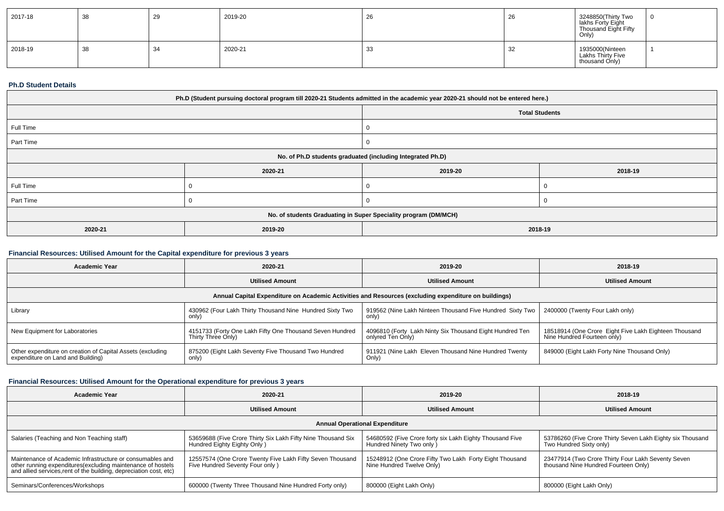| 2017-18 | -38 | 29 | 2019-20 | 26 | ∠∪ | 3248850(Thirty Two<br>lakhs Forty Eight<br>Thousand Eight Fifty<br>Only) |  |
|---------|-----|----|---------|----|----|--------------------------------------------------------------------------|--|
| 2018-19 | 38  | 34 | 2020-21 | 33 | 32 | 1935000(Ninteen<br>Lakhs Thirty Five<br>thousand Only)                   |  |

#### **Ph.D Student Details**

| Ph.D (Student pursuing doctoral program till 2020-21 Students admitted in the academic year 2020-21 should not be entered here.) |         |                       |         |  |  |
|----------------------------------------------------------------------------------------------------------------------------------|---------|-----------------------|---------|--|--|
|                                                                                                                                  |         | <b>Total Students</b> |         |  |  |
| Full Time                                                                                                                        |         |                       |         |  |  |
| Part Time                                                                                                                        |         | 0                     |         |  |  |
| No. of Ph.D students graduated (including Integrated Ph.D)                                                                       |         |                       |         |  |  |
|                                                                                                                                  | 2020-21 | 2019-20               | 2018-19 |  |  |
| Full Time                                                                                                                        |         |                       |         |  |  |
| Part Time                                                                                                                        |         |                       |         |  |  |
| No. of students Graduating in Super Speciality program (DM/MCH)                                                                  |         |                       |         |  |  |
| 2020-21                                                                                                                          | 2019-20 | 2018-19               |         |  |  |

### **Financial Resources: Utilised Amount for the Capital expenditure for previous 3 years**

| <b>Academic Year</b>                                                                                 | 2020-21                                                                        | 2019-20                                                                       | 2018-19                                                                              |  |  |  |
|------------------------------------------------------------------------------------------------------|--------------------------------------------------------------------------------|-------------------------------------------------------------------------------|--------------------------------------------------------------------------------------|--|--|--|
|                                                                                                      | <b>Utilised Amount</b>                                                         | <b>Utilised Amount</b>                                                        | <b>Utilised Amount</b>                                                               |  |  |  |
| Annual Capital Expenditure on Academic Activities and Resources (excluding expenditure on buildings) |                                                                                |                                                                               |                                                                                      |  |  |  |
| Library                                                                                              | 430962 (Four Lakh Thirty Thousand Nine Hundred Sixty Two<br>only)              | 919562 (Nine Lakh Ninteen Thousand Five Hundred Sixty Two<br>only)            | 2400000 (Twenty Four Lakh only)                                                      |  |  |  |
| New Equipment for Laboratories                                                                       | 4151733 (Forty One Lakh Fifty One Thousand Seven Hundred<br>Thirty Three Only) | 4096810 (Forty Lakh Ninty Six Thousand Eight Hundred Ten<br>onlyred Ten Only) | 18518914 (One Crore Eight Five Lakh Eighteen Thousand<br>Nine Hundred Fourteen only) |  |  |  |
| Other expenditure on creation of Capital Assets (excluding<br>expenditure on Land and Building)      | 875200 (Eight Lakh Seventy Five Thousand Two Hundred<br>only)                  | 911921 (Nine Lakh Eleven Thousand Nine Hundred Twenty<br>Only)                | 849000 (Eight Lakh Forty Nine Thousand Only)                                         |  |  |  |

### **Financial Resources: Utilised Amount for the Operational expenditure for previous 3 years**

| <b>Academic Year</b>                                                                                                                                                                           | 2020-21                                                                                      | 2019-20                                                                               | 2018-19                                                                                    |  |  |  |
|------------------------------------------------------------------------------------------------------------------------------------------------------------------------------------------------|----------------------------------------------------------------------------------------------|---------------------------------------------------------------------------------------|--------------------------------------------------------------------------------------------|--|--|--|
|                                                                                                                                                                                                | <b>Utilised Amount</b>                                                                       | <b>Utilised Amount</b>                                                                | <b>Utilised Amount</b>                                                                     |  |  |  |
| <b>Annual Operational Expenditure</b>                                                                                                                                                          |                                                                                              |                                                                                       |                                                                                            |  |  |  |
| Salaries (Teaching and Non Teaching staff)                                                                                                                                                     | 53659688 (Five Crore Thirty Six Lakh Fifty Nine Thousand Six<br>Hundred Eighty Eighty Only)  | 54680592 (Five Crore forty six Lakh Eighty Thousand Five<br>Hundred Ninety Two only ) | 53786260 (Five Crore Thirty Seven Lakh Eighty six Thousand<br>Two Hundred Sixty only)      |  |  |  |
| Maintenance of Academic Infrastructure or consumables and<br>other running expenditures(excluding maintenance of hostels<br>and allied services, rent of the building, depreciation cost, etc) | 12557574 (One Crore Twenty Five Lakh Fifty Seven Thousand<br>Five Hundred Seventy Four only) | 15248912 (One Crore Fifty Two Lakh Forty Eight Thousand<br>Nine Hundred Twelve Only   | 23477914 (Two Crore Thirty Four Lakh Seventy Seven<br>thousand Nine Hundred Fourteen Only) |  |  |  |
| Seminars/Conferences/Workshops                                                                                                                                                                 | 600000 (Twenty Three Thousand Nine Hundred Forty only)                                       | 800000 (Eight Lakh Only)                                                              | 800000 (Eight Lakh Only)                                                                   |  |  |  |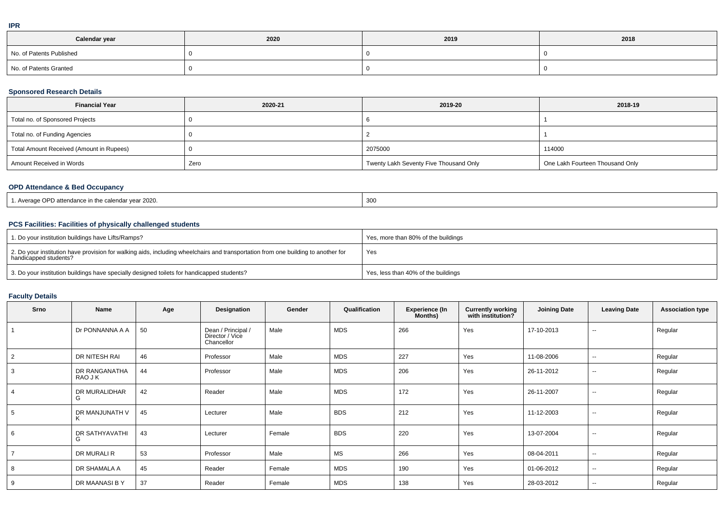| Calendar year            | 2020 | 2019 | 2018 |
|--------------------------|------|------|------|
| No. of Patents Published |      |      |      |
| No. of Patents Granted   |      |      |      |

#### **Sponsored Research Details**

| <b>Financial Year</b>                    | 2020-21 | 2019-20                                | 2018-19                         |
|------------------------------------------|---------|----------------------------------------|---------------------------------|
| Total no. of Sponsored Projects          |         |                                        |                                 |
| Total no. of Funding Agencies            |         |                                        |                                 |
| Total Amount Received (Amount in Rupees) |         | 2075000                                | 114000                          |
| Amount Received in Words                 | Zero    | Twenty Lakh Seventy Five Thousand Only | One Lakh Fourteen Thousand Only |

### **OPD Attendance & Bed Occupancy**

| . Average OPD attendance in the calendar year 2020.<br>$\mathcal{L}$ . The contract of the contract of the contract of the contract of the contract of the contract of the contract of the contract of the contract of the contract of the contract of the contract of the contract of th | $\sim$<br>-300 |
|-------------------------------------------------------------------------------------------------------------------------------------------------------------------------------------------------------------------------------------------------------------------------------------------|----------------|
|-------------------------------------------------------------------------------------------------------------------------------------------------------------------------------------------------------------------------------------------------------------------------------------------|----------------|

# **PCS Facilities: Facilities of physically challenged students**

| 1. Do your institution buildings have Lifts/Ramps?                                                                                                         | Yes, more than 80% of the buildings |
|------------------------------------------------------------------------------------------------------------------------------------------------------------|-------------------------------------|
| 2. Do your institution have provision for walking aids, including wheelchairs and transportation from one building to another for<br>handicapped students? | Yes                                 |
| 3. Do your institution buildings have specially designed toilets for handicapped students?                                                                 | Yes, less than 40% of the buildings |

# **Faculty Details**

| Srno           | Name                     | Age | Designation                                         | Gender | Qualification | <b>Experience (In</b><br>Months) | <b>Currently working</b><br>with institution? | <b>Joining Date</b> | <b>Leaving Date</b> | <b>Association type</b> |
|----------------|--------------------------|-----|-----------------------------------------------------|--------|---------------|----------------------------------|-----------------------------------------------|---------------------|---------------------|-------------------------|
|                | Dr PONNANNA A A          | 50  | Dean / Principal /<br>Director / Vice<br>Chancellor | Male   | <b>MDS</b>    | 266                              | Yes                                           | 17-10-2013          | $\sim$              | Regular                 |
| 2              | DR NITESH RAI            | 46  | Professor                                           | Male   | <b>MDS</b>    | 227                              | Yes                                           | 11-08-2006          | $\sim$              | Regular                 |
| 3              | DR RANGANATHA<br>RAO J K | 44  | Professor                                           | Male   | <b>MDS</b>    | 206                              | Yes                                           | 26-11-2012          | $\sim$              | Regular                 |
| 4              | DR MURALIDHAR<br>G       | 42  | Reader                                              | Male   | MDS           | 172                              | Yes                                           | 26-11-2007          | $\sim$              | Regular                 |
| 5              | DR MANJUNATH V           | 45  | Lecturer                                            | Male   | <b>BDS</b>    | 212                              | Yes                                           | 11-12-2003          | $\sim$              | Regular                 |
| 6              | DR SATHYAVATHI<br>G      | 43  | Lecturer                                            | Female | <b>BDS</b>    | 220                              | Yes                                           | 13-07-2004          | $\sim$              | Regular                 |
| $\overline{7}$ | DR MURALI R              | 53  | Professor                                           | Male   | <b>MS</b>     | 266                              | Yes                                           | 08-04-2011          | $\sim$              | Regular                 |
| 8              | DR SHAMALA A             | 45  | Reader                                              | Female | <b>MDS</b>    | 190                              | Yes                                           | 01-06-2012          | $\sim$              | Regular                 |
| 9              | DR MAANASI B Y           | 37  | Reader                                              | Female | MDS           | 138                              | Yes                                           | 28-03-2012          | $\sim$              | Regular                 |

**IPR**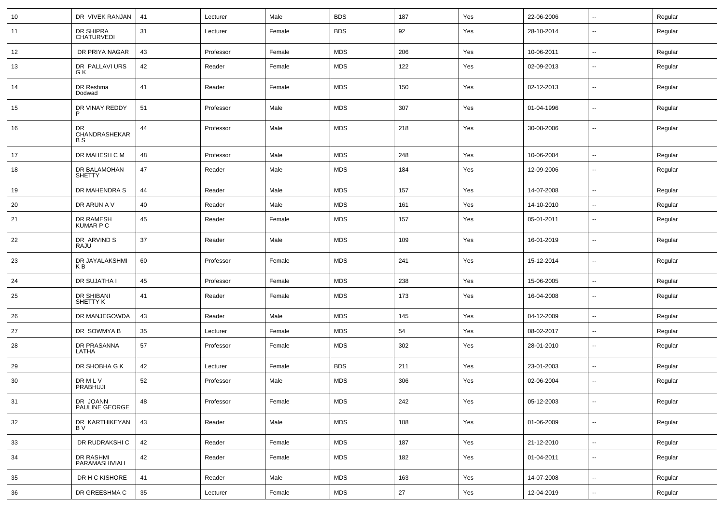| 10 | DR VIVEK RANJAN                  | 41 | Lecturer  | Male   | <b>BDS</b> | 187 | Yes | 22-06-2006 | $\overline{\phantom{a}}$ | Regular |
|----|----------------------------------|----|-----------|--------|------------|-----|-----|------------|--------------------------|---------|
| 11 | DR SHIPRA<br><b>CHATURVEDI</b>   | 31 | Lecturer  | Female | <b>BDS</b> | 92  | Yes | 28-10-2014 | $\overline{\phantom{a}}$ | Regular |
| 12 | DR PRIYA NAGAR                   | 43 | Professor | Female | <b>MDS</b> | 206 | Yes | 10-06-2011 | ⊷.                       | Regular |
| 13 | DR PALLAVI URS<br>G K            | 42 | Reader    | Female | <b>MDS</b> | 122 | Yes | 02-09-2013 | ⊷.                       | Regular |
| 14 | DR Reshma<br>Dodwad              | 41 | Reader    | Female | <b>MDS</b> | 150 | Yes | 02-12-2013 | $\overline{\phantom{a}}$ | Regular |
| 15 | DR VINAY REDDY<br>P              | 51 | Professor | Male   | <b>MDS</b> | 307 | Yes | 01-04-1996 | ⊷.                       | Regular |
| 16 | DR<br>CHANDRASHEKAR<br><b>BS</b> | 44 | Professor | Male   | <b>MDS</b> | 218 | Yes | 30-08-2006 | --                       | Regular |
| 17 | DR MAHESH C M                    | 48 | Professor | Male   | <b>MDS</b> | 248 | Yes | 10-06-2004 | ⊷.                       | Regular |
| 18 | DR BALAMOHAN<br><b>SHETTY</b>    | 47 | Reader    | Male   | <b>MDS</b> | 184 | Yes | 12-09-2006 | ⊷.                       | Regular |
| 19 | DR MAHENDRA S                    | 44 | Reader    | Male   | <b>MDS</b> | 157 | Yes | 14-07-2008 | $\overline{\phantom{a}}$ | Regular |
| 20 | DR ARUN A V                      | 40 | Reader    | Male   | <b>MDS</b> | 161 | Yes | 14-10-2010 | --                       | Regular |
| 21 | DR RAMESH<br><b>KUMAR P C</b>    | 45 | Reader    | Female | <b>MDS</b> | 157 | Yes | 05-01-2011 | -−                       | Regular |
| 22 | DR ARVIND S<br>RAJU              | 37 | Reader    | Male   | <b>MDS</b> | 109 | Yes | 16-01-2019 | --                       | Regular |
| 23 | DR JAYALAKSHMI<br>KB             | 60 | Professor | Female | <b>MDS</b> | 241 | Yes | 15-12-2014 | $\overline{\phantom{a}}$ | Regular |
| 24 | DR SUJATHA I                     | 45 | Professor | Female | <b>MDS</b> | 238 | Yes | 15-06-2005 | $\overline{\phantom{a}}$ | Regular |
| 25 | DR SHIBANI<br>SHETTY K           | 41 | Reader    | Female | <b>MDS</b> | 173 | Yes | 16-04-2008 | $\overline{\phantom{a}}$ | Regular |
| 26 | DR MANJEGOWDA                    | 43 | Reader    | Male   | <b>MDS</b> | 145 | Yes | 04-12-2009 | $\overline{\phantom{a}}$ | Regular |
| 27 | DR SOWMYA B                      | 35 | Lecturer  | Female | <b>MDS</b> | 54  | Yes | 08-02-2017 | $\overline{\phantom{a}}$ | Regular |
| 28 | DR PRASANNA<br>LATHA             | 57 | Professor | Female | <b>MDS</b> | 302 | Yes | 28-01-2010 | ⊷.                       | Regular |
| 29 | DR SHOBHA G K                    | 42 | Lecturer  | Female | <b>BDS</b> | 211 | Yes | 23-01-2003 | ⊷.                       | Regular |
| 30 | <b>DRMLV</b><br>PRABHUJI         | 52 | Professor | Male   | <b>MDS</b> | 306 | Yes | 02-06-2004 | --                       | Regular |
| 31 | DR JOANN<br>PAULINE GEORGE       | 48 | Professor | Female | <b>MDS</b> | 242 | Yes | 05-12-2003 | н.                       | Regular |
| 32 | DR KARTHIKEYAN<br>BV             | 43 | Reader    | Male   | <b>MDS</b> | 188 | Yes | 01-06-2009 | $\overline{\phantom{a}}$ | Regular |
| 33 | DR RUDRAKSHI C                   | 42 | Reader    | Female | <b>MDS</b> | 187 | Yes | 21-12-2010 | $\overline{\phantom{a}}$ | Regular |
| 34 | DR RASHMI<br>PARAMASHIVIAH       | 42 | Reader    | Female | <b>MDS</b> | 182 | Yes | 01-04-2011 | $\sim$                   | Regular |
| 35 | DR H C KISHORE                   | 41 | Reader    | Male   | <b>MDS</b> | 163 | Yes | 14-07-2008 | $\sim$                   | Regular |
| 36 | DR GREESHMA C                    | 35 | Lecturer  | Female | <b>MDS</b> | 27  | Yes | 12-04-2019 | н.                       | Regular |